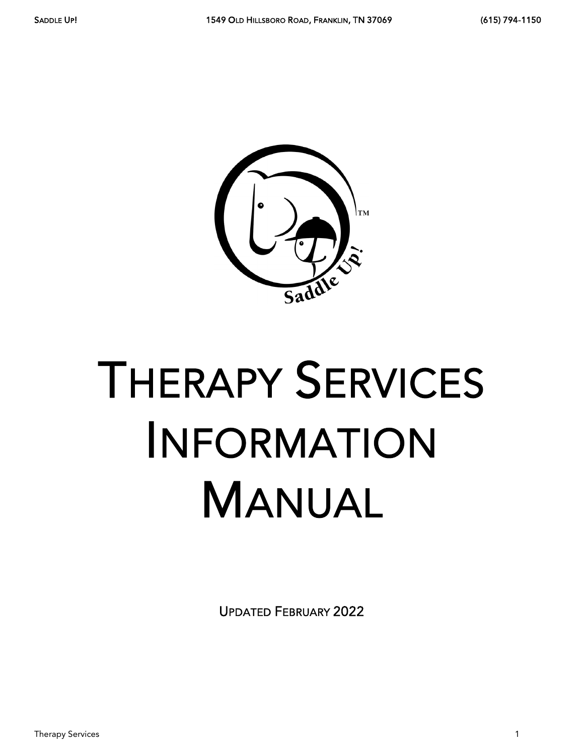

# THERAPY SERVICES INFORMATION MANUAL

UPDATED FEBRUARY 2022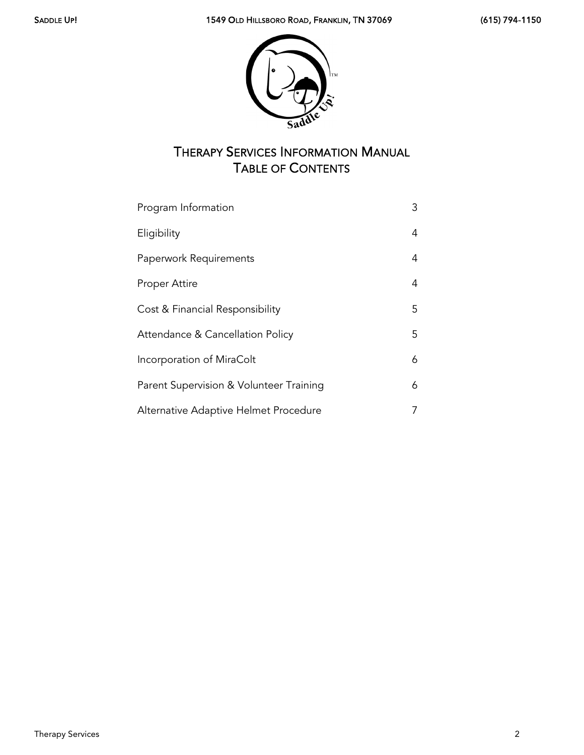

# THERAPY SERVICES INFORMATION MANUAL TABLE OF CONTENTS

| Program Information                     | 3  |
|-----------------------------------------|----|
| Eligibility                             | 4  |
| Paperwork Requirements                  | 4  |
| Proper Attire                           | 4  |
| Cost & Financial Responsibility         | 5  |
| Attendance & Cancellation Policy        | 5. |
| Incorporation of MiraColt               | 6  |
| Parent Supervision & Volunteer Training | 6  |
| Alternative Adaptive Helmet Procedure   |    |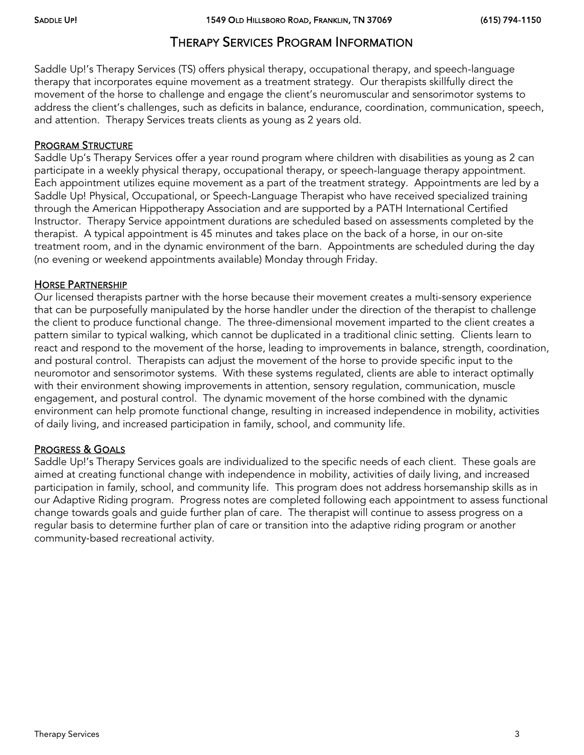## THERAPY SERVICES PROGRAM INFORMATION

Saddle Up!'s Therapy Services (TS) offers physical therapy, occupational therapy, and speech-language therapy that incorporates equine movement as a treatment strategy. Our therapists skillfully direct the movement of the horse to challenge and engage the client's neuromuscular and sensorimotor systems to address the client's challenges, such as deficits in balance, endurance, coordination, communication, speech, and attention. Therapy Services treats clients as young as 2 years old.

#### PROGRAM STRUCTURE

Saddle Up's Therapy Services offer a year round program where children with disabilities as young as 2 can participate in a weekly physical therapy, occupational therapy, or speech-language therapy appointment. Each appointment utilizes equine movement as a part of the treatment strategy. Appointments are led by a Saddle Up! Physical, Occupational, or Speech-Language Therapist who have received specialized training through the American Hippotherapy Association and are supported by a PATH International Certified Instructor. Therapy Service appointment durations are scheduled based on assessments completed by the therapist. A typical appointment is 45 minutes and takes place on the back of a horse, in our on-site treatment room, and in the dynamic environment of the barn. Appointments are scheduled during the day (no evening or weekend appointments available) Monday through Friday.

#### HORSE PARTNERSHIP

Our licensed therapists partner with the horse because their movement creates a multi-sensory experience that can be purposefully manipulated by the horse handler under the direction of the therapist to challenge the client to produce functional change. The three-dimensional movement imparted to the client creates a pattern similar to typical walking, which cannot be duplicated in a traditional clinic setting. Clients learn to react and respond to the movement of the horse, leading to improvements in balance, strength, coordination, and postural control. Therapists can adjust the movement of the horse to provide specific input to the neuromotor and sensorimotor systems. With these systems regulated, clients are able to interact optimally with their environment showing improvements in attention, sensory regulation, communication, muscle engagement, and postural control. The dynamic movement of the horse combined with the dynamic environment can help promote functional change, resulting in increased independence in mobility, activities of daily living, and increased participation in family, school, and community life.

#### PROGRESS & GOALS

Saddle Up!'s Therapy Services goals are individualized to the specific needs of each client. These goals are aimed at creating functional change with independence in mobility, activities of daily living, and increased participation in family, school, and community life. This program does not address horsemanship skills as in our Adaptive Riding program. Progress notes are completed following each appointment to assess functional change towards goals and guide further plan of care. The therapist will continue to assess progress on a regular basis to determine further plan of care or transition into the adaptive riding program or another community‐based recreational activity.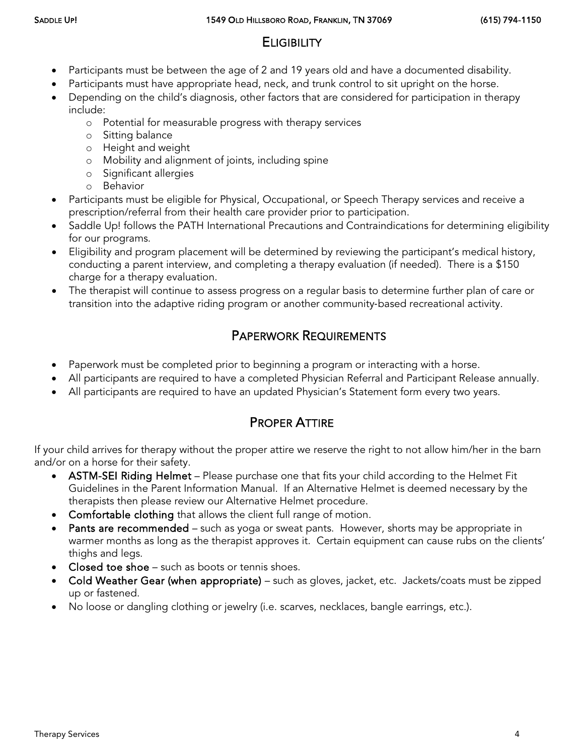## **ELIGIBILITY**

- Participants must be between the age of 2 and 19 years old and have a documented disability.
	- Participants must have appropriate head, neck, and trunk control to sit upright on the horse.
- Depending on the child's diagnosis, other factors that are considered for participation in therapy include:
	- o Potential for measurable progress with therapy services
	- o Sitting balance
	- o Height and weight
	- o Mobility and alignment of joints, including spine
	- o Significant allergies
	- o Behavior
- Participants must be eligible for Physical, Occupational, or Speech Therapy services and receive a prescription/referral from their health care provider prior to participation.
- Saddle Up! follows the PATH International Precautions and Contraindications for determining eligibility for our programs.
- Eligibility and program placement will be determined by reviewing the participant's medical history, conducting a parent interview, and completing a therapy evaluation (if needed). There is a \$150 charge for a therapy evaluation.
- The therapist will continue to assess progress on a regular basis to determine further plan of care or transition into the adaptive riding program or another community‐based recreational activity.

## PAPERWORK REQUIREMENTS

- Paperwork must be completed prior to beginning a program or interacting with a horse.
- All participants are required to have a completed Physician Referral and Participant Release annually.
- All participants are required to have an updated Physician's Statement form every two years.

## PROPER ATTIRE

If your child arrives for therapy without the proper attire we reserve the right to not allow him/her in the barn and/or on a horse for their safety.

- ASTM-SEI Riding Helmet Please purchase one that fits your child according to the Helmet Fit Guidelines in the Parent Information Manual. If an Alternative Helmet is deemed necessary by the therapists then please review our Alternative Helmet procedure.
- Comfortable clothing that allows the client full range of motion.
- Pants are recommended such as yoga or sweat pants. However, shorts may be appropriate in warmer months as long as the therapist approves it. Certain equipment can cause rubs on the clients' thighs and legs.
- Closed toe shoe such as boots or tennis shoes.
- Cold Weather Gear (when appropriate) such as gloves, jacket, etc. Jackets/coats must be zipped up or fastened.
- No loose or dangling clothing or jewelry (i.e. scarves, necklaces, bangle earrings, etc.).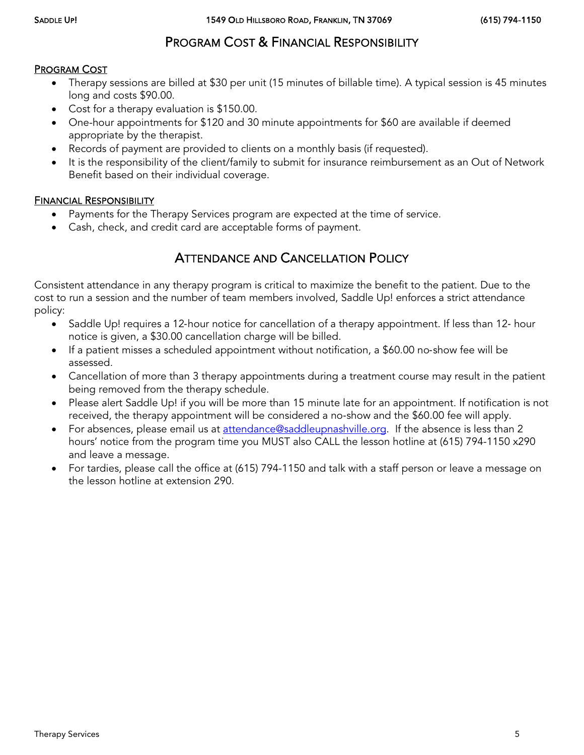## PROGRAM COST & FINANCIAL RESPONSIBILITY

#### PROGRAM COST

- Therapy sessions are billed at \$30 per unit (15 minutes of billable time). A typical session is 45 minutes long and costs \$90.00.
- Cost for a therapy evaluation is \$150.00.
- One-hour appointments for \$120 and 30 minute appointments for \$60 are available if deemed appropriate by the therapist.
- Records of payment are provided to clients on a monthly basis (if requested).
- It is the responsibility of the client/family to submit for insurance reimbursement as an Out of Network Benefit based on their individual coverage.

#### FINANCIAL RESPONSIBILITY

- Payments for the Therapy Services program are expected at the time of service.
- Cash, check, and credit card are acceptable forms of payment.

#### ATTENDANCE AND CANCELLATION POLICY

Consistent attendance in any therapy program is critical to maximize the benefit to the patient. Due to the cost to run a session and the number of team members involved, Saddle Up! enforces a strict attendance policy:

- Saddle Up! requires a 12-hour notice for cancellation of a therapy appointment. If less than 12- hour notice is given, a \$30.00 cancellation charge will be billed.
- If a patient misses a scheduled appointment without notification, a \$60.00 no‐show fee will be assessed.
- Cancellation of more than 3 therapy appointments during a treatment course may result in the patient being removed from the therapy schedule.
- Please alert Saddle Up! if you will be more than 15 minute late for an appointment. If notification is not received, the therapy appointment will be considered a no‐show and the \$60.00 fee will apply.
- For absences, please email us at [attendance@saddleupnashville.org.](mailto:attendance@saddleupnashville.org) If the absence is less than 2 hours' notice from the program time you MUST also CALL the lesson hotline at (615) 794-1150 x290 and leave a message.
- For tardies, please call the office at (615) 794-1150 and talk with a staff person or leave a message on the lesson hotline at extension 290.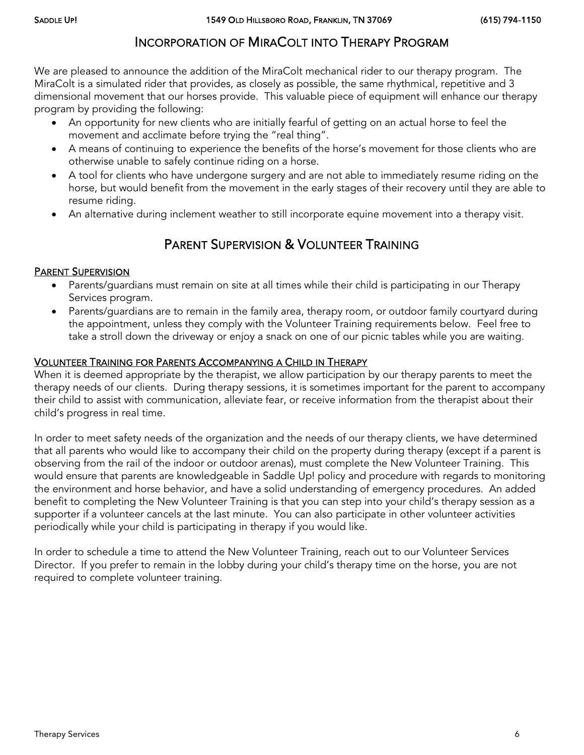## INCORPORATION OF MIRACOLT INTO THERAPY PROGRAM

We are pleased to announce the addition of the MiraColt mechanical rider to our therapy program. The MiraColt is a simulated rider that provides, as closely as possible, the same rhythmical, repetitive and 3 dimensional movement that our horses provide. This valuable piece of equipment will enhance our therapy program by providing the following:

- An opportunity for new clients who are initially fearful of getting on an actual horse to feel the movement and acclimate before trying the "real thing".
- A means of continuing to experience the benefits of the horse's movement for those clients who are otherwise unable to safely continue riding on a horse.
- A tool for clients who have undergone surgery and are not able to immediately resume riding on the horse, but would benefit from the movement in the early stages of their recovery until they are able to resume riding.
- An alternative during inclement weather to still incorporate equine movement into a therapy visit.

## PARENT SUPERVISION & VOLUNTEER TRAINING

#### PARENT SUPERVISION

- Parents/guardians must remain on site at all times while their child is participating in our Therapy Services program.
- Parents/guardians are to remain in the family area, therapy room, or outdoor family courtyard during the appointment, unless they comply with the Volunteer Training requirements below. Feel free to take a stroll down the driveway or enjoy a snack on one of our picnic tables while you are waiting.

#### VOLUNTEER TRAINING FOR PARENTS ACCOMPANYING A CHILD IN THERAPY

When it is deemed appropriate by the therapist, we allow participation by our therapy parents to meet the therapy needs of our clients. During therapy sessions, it is sometimes important for the parent to accompany their child to assist with communication, alleviate fear, or receive information from the therapist about their child's progress in real time.

In order to meet safety needs of the organization and the needs of our therapy clients, we have determined that all parents who would like to accompany their child on the property during therapy (except if a parent is observing from the rail of the indoor or outdoor arenas), must complete the New Volunteer Training. This would ensure that parents are knowledgeable in Saddle Up! policy and procedure with regards to monitoring the environment and horse behavior, and have a solid understanding of emergency procedures. An added benefit to completing the New Volunteer Training is that you can step into your child's therapy session as a supporter if a volunteer cancels at the last minute. You can also participate in other volunteer activities periodically while your child is participating in therapy if you would like.

In order to schedule a time to attend the New Volunteer Training, reach out to our Volunteer Services Director. If you prefer to remain in the lobby during your child's therapy time on the horse, you are not required to complete volunteer training.